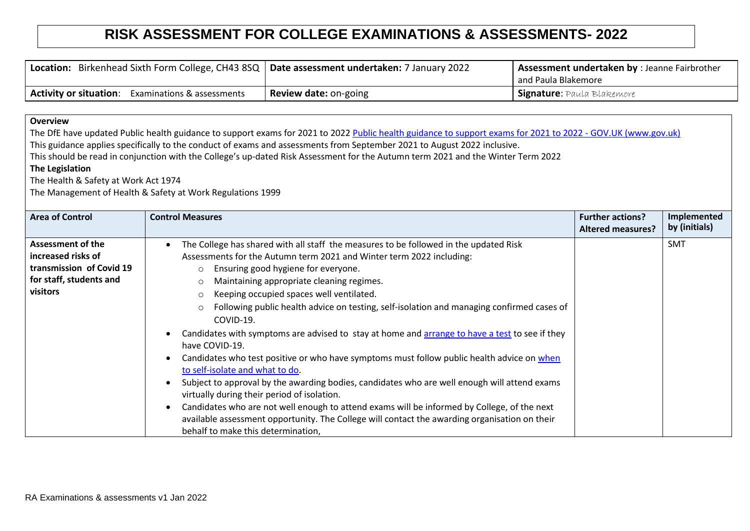## **RISK ASSESSMENT FOR COLLEGE EXAMINATIONS & ASSESSMENTS- 2022**

| <b>Location:</b> Birkenhead Sixth Form College, CH43 8SQ   Date assessment undertaken: 7 January 2022 |                              | <b>Assessment undertaken by</b> : Jeanne Fairbrother |
|-------------------------------------------------------------------------------------------------------|------------------------------|------------------------------------------------------|
|                                                                                                       |                              | and Paula Blakemore                                  |
| <b>Activity or situation:</b><br><b>Examinations &amp; assessments</b>                                | <b>Review date: on-going</b> | <b>Signature:</b> Paula Blakemore                    |

## **Overview**

The DfE have updated Public health guidance to support exams for 2021 to 2022 [Public health guidance to support exams for 2021 to 2022 -](https://www.gov.uk/government/publications/responsibility-for-autumn-gcse-as-and-a-level-exam-series/public-health-arrangements-for-autumn-exams?utm_source=7%20January%202022%20C19&utm_medium=Daily%20Email%20C19&utm_campaign=DfE%20C19) GOV.UK (www.gov.uk) This guidance applies specifically to the conduct of exams and assessments from September 2021 to August 2022 inclusive.

This should be read in conjunction with the College's up-dated Risk Assessment for the Autumn term 2021 and the Winter Term 2022

## **The Legislation**

The Health & Safety at Work Act 1974

The Management of Health & Safety at Work Regulations 1999

| <b>Area of Control</b>                                                                                            | <b>Control Measures</b>                                                                                                                                                                                                                                                                                                                                                                                                                                                                                                                                                                                                                                                                                                                                                                                                                                                                                                                                                                                                                                                                 | <b>Further actions?</b><br><b>Altered measures?</b> | Implemented<br>by (initials) |
|-------------------------------------------------------------------------------------------------------------------|-----------------------------------------------------------------------------------------------------------------------------------------------------------------------------------------------------------------------------------------------------------------------------------------------------------------------------------------------------------------------------------------------------------------------------------------------------------------------------------------------------------------------------------------------------------------------------------------------------------------------------------------------------------------------------------------------------------------------------------------------------------------------------------------------------------------------------------------------------------------------------------------------------------------------------------------------------------------------------------------------------------------------------------------------------------------------------------------|-----------------------------------------------------|------------------------------|
| <b>Assessment of the</b><br>increased risks of<br>transmission of Covid 19<br>for staff, students and<br>visitors | The College has shared with all staff the measures to be followed in the updated Risk<br>Assessments for the Autumn term 2021 and Winter term 2022 including:<br>Ensuring good hygiene for everyone.<br>$\circ$<br>Maintaining appropriate cleaning regimes.<br>O<br>Keeping occupied spaces well ventilated.<br>$\circ$<br>Following public health advice on testing, self-isolation and managing confirmed cases of<br>$\circ$<br>COVID-19.<br>Candidates with symptoms are advised to stay at home and arrange to have a test to see if they<br>have COVID-19.<br>Candidates who test positive or who have symptoms must follow public health advice on when<br>to self-isolate and what to do.<br>Subject to approval by the awarding bodies, candidates who are well enough will attend exams<br>virtually during their period of isolation.<br>Candidates who are not well enough to attend exams will be informed by College, of the next<br>available assessment opportunity. The College will contact the awarding organisation on their<br>behalf to make this determination, |                                                     | <b>SMT</b>                   |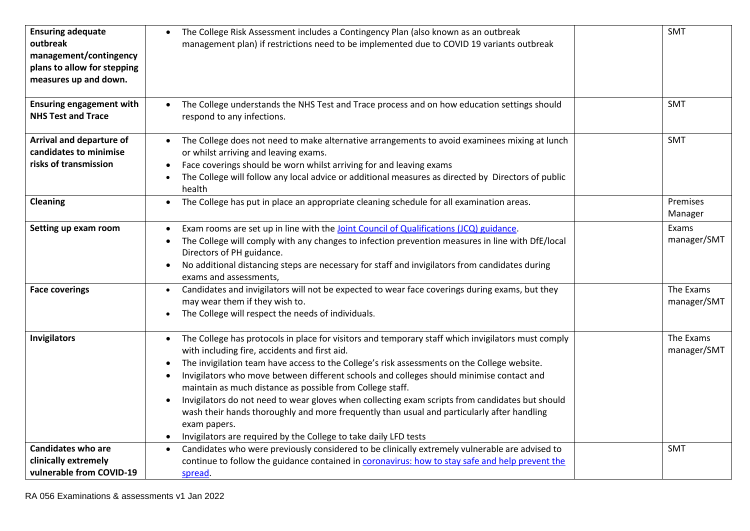| <b>Ensuring adequate</b><br>outbreak<br>management/contingency<br>plans to allow for stepping<br>measures up and down.<br><b>Ensuring engagement with</b><br><b>NHS Test and Trace</b> | The College Risk Assessment includes a Contingency Plan (also known as an outbreak<br>management plan) if restrictions need to be implemented due to COVID 19 variants outbreak<br>The College understands the NHS Test and Trace process and on how education settings should<br>respond to any infections.                                                                                                                                                                                                                                                                                                                                                                                                  | <b>SMT</b><br><b>SMT</b> |
|----------------------------------------------------------------------------------------------------------------------------------------------------------------------------------------|---------------------------------------------------------------------------------------------------------------------------------------------------------------------------------------------------------------------------------------------------------------------------------------------------------------------------------------------------------------------------------------------------------------------------------------------------------------------------------------------------------------------------------------------------------------------------------------------------------------------------------------------------------------------------------------------------------------|--------------------------|
| Arrival and departure of<br>candidates to minimise<br>risks of transmission                                                                                                            | The College does not need to make alternative arrangements to avoid examinees mixing at lunch<br>or whilst arriving and leaving exams.<br>Face coverings should be worn whilst arriving for and leaving exams<br>The College will follow any local advice or additional measures as directed by Directors of public<br>health                                                                                                                                                                                                                                                                                                                                                                                 | <b>SMT</b>               |
| <b>Cleaning</b>                                                                                                                                                                        | The College has put in place an appropriate cleaning schedule for all examination areas.                                                                                                                                                                                                                                                                                                                                                                                                                                                                                                                                                                                                                      | Premises<br>Manager      |
| Setting up exam room                                                                                                                                                                   | Exam rooms are set up in line with the Joint Council of Qualifications (JCQ) guidance.<br>The College will comply with any changes to infection prevention measures in line with DfE/local<br>Directors of PH guidance.<br>No additional distancing steps are necessary for staff and invigilators from candidates during<br>exams and assessments,                                                                                                                                                                                                                                                                                                                                                           | Exams<br>manager/SMT     |
| <b>Face coverings</b>                                                                                                                                                                  | Candidates and invigilators will not be expected to wear face coverings during exams, but they<br>$\bullet$<br>may wear them if they wish to.<br>The College will respect the needs of individuals.                                                                                                                                                                                                                                                                                                                                                                                                                                                                                                           | The Exams<br>manager/SMT |
| Invigilators                                                                                                                                                                           | The College has protocols in place for visitors and temporary staff which invigilators must comply<br>$\bullet$<br>with including fire, accidents and first aid.<br>The invigilation team have access to the College's risk assessments on the College website.<br>Invigilators who move between different schools and colleges should minimise contact and<br>maintain as much distance as possible from College staff.<br>Invigilators do not need to wear gloves when collecting exam scripts from candidates but should<br>wash their hands thoroughly and more frequently than usual and particularly after handling<br>exam papers.<br>Invigilators are required by the College to take daily LFD tests | The Exams<br>manager/SMT |
| <b>Candidates who are</b><br>clinically extremely<br>vulnerable from COVID-19                                                                                                          | Candidates who were previously considered to be clinically extremely vulnerable are advised to<br>$\bullet$<br>continue to follow the guidance contained in coronavirus: how to stay safe and help prevent the<br>spread.                                                                                                                                                                                                                                                                                                                                                                                                                                                                                     | <b>SMT</b>               |